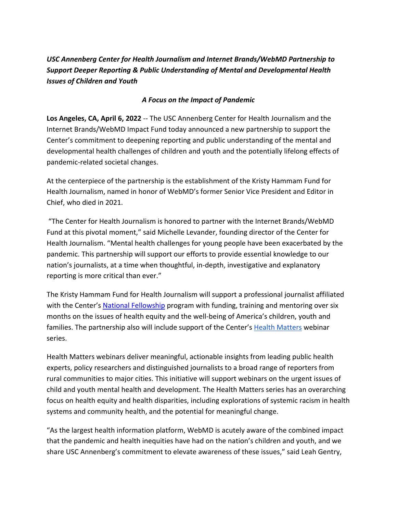*USC Annenberg Center for Health Journalism and Internet Brands/WebMD Partnership to Support Deeper Reporting & Public Understanding of Mental and Developmental Health Issues of Children and Youth*

## *A Focus on the Impact of Pandemic*

**Los Angeles, CA, April 6, 2022** -- The USC Annenberg Center for Health Journalism and the Internet Brands/WebMD Impact Fund today announced a new partnership to support the Center's commitment to deepening reporting and public understanding of the mental and developmental health challenges of children and youth and the potentially lifelong effects of pandemic-related societal changes.

At the centerpiece of the partnership is the establishment of the Kristy Hammam Fund for Health Journalism, named in honor of WebMD's former Senior Vice President and Editor in Chief, who died in 2021.

"The Center for Health Journalism is honored to partner with the Internet Brands/WebMD Fund at this pivotal moment," said Michelle Levander, founding director of the Center for Health Journalism. "Mental health challenges for young people have been exacerbated by the pandemic. This partnership will support our efforts to provide essential knowledge to our nation's journalists, at a time when thoughtful, in-depth, investigative and explanatory reporting is more critical than ever."

The Kristy Hammam Fund for Health Journalism will support a professional journalist affiliated with the Center's [National Fellowship](https://centerforhealthjournalism.org/event/2022-national-fellowship) program with funding, training and mentoring over six months on the issues of health equity and the well-being of America's children, youth and families. The partnership also will include support of the Center's [Health Matters](https://centerforhealthjournalism.org/webinars) webinar series.

Health Matters webinars deliver meaningful, actionable insights from leading public health experts, policy researchers and distinguished journalists to a broad range of reporters from rural communities to major cities. This initiative will support webinars on the urgent issues of child and youth mental health and development. The Health Matters series has an overarching focus on health equity and health disparities, including explorations of systemic racism in health systems and community health, and the potential for meaningful change.

"As the largest health information platform, WebMD is acutely aware of the combined impact that the pandemic and health inequities have had on the nation's children and youth, and we share USC Annenberg's commitment to elevate awareness of these issues," said Leah Gentry,